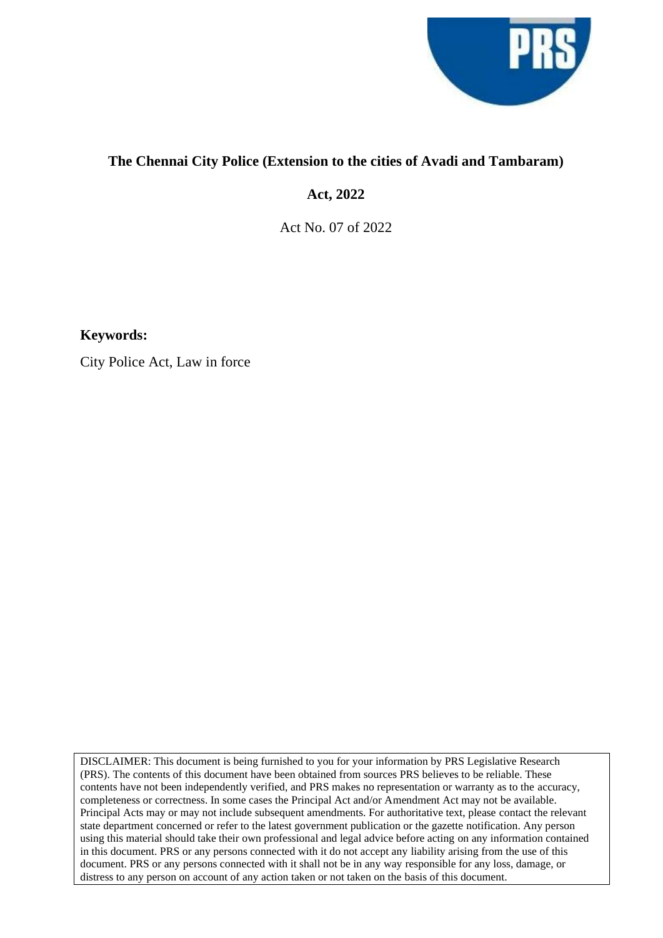

## **The Chennai City Police (Extension to the cities of Avadi and Tambaram)**

**Act, 2022**

Act No. 07 of 2022

**Keywords:**

City Police Act, Law in force

DISCLAIMER: This document is being furnished to you for your information by PRS Legislative Research (PRS). The contents of this document have been obtained from sources PRS believes to be reliable. These contents have not been independently verified, and PRS makes no representation or warranty as to the accuracy, completeness or correctness. In some cases the Principal Act and/or Amendment Act may not be available. Principal Acts may or may not include subsequent amendments. For authoritative text, please contact the relevant state department concerned or refer to the latest government publication or the gazette notification. Any person using this material should take their own professional and legal advice before acting on any information contained in this document. PRS or any persons connected with it do not accept any liability arising from the use of this document. PRS or any persons connected with it shall not be in any way responsible for any loss, damage, or distress to any person on account of any action taken or not taken on the basis of this document.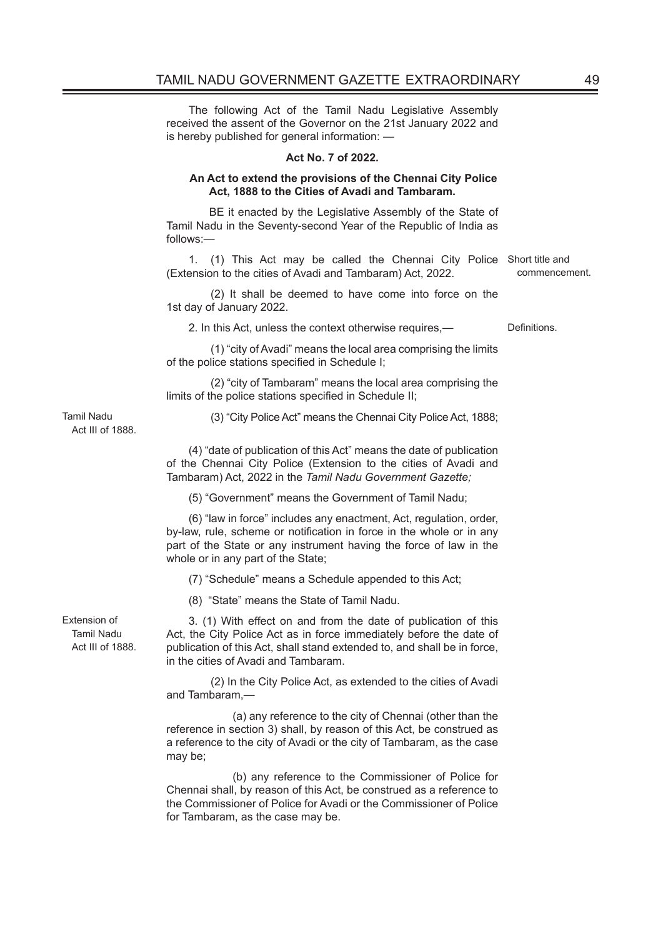The following Act of the Tamil Nadu Legislative Assembly received the assent of the Governor on the 21st January 2022 and is hereby published for general information: —

#### **Act No. 7 of 2022.**

#### **An Act to extend the provisions of the Chennai City Police Act, 1888 to the Cities of Avadi and Tambaram.**

 BE it enacted by the Legislative Assembly of the State of Tamil Nadu in the Seventy-second Year of the Republic of India as follows:—

1. (1) This Act may be called the Chennai City Police Short title and (Extension to the cities of Avadi and Tambaram) Act, 2022. commencement.

(2) It shall be deemed to have come into force on the 1st day of January 2022.

2. In this Act, unless the context otherwise requires, example 10 Definitions.

(1) "city of Avadi" means the local area comprising the limits of the police stations specified in Schedule I;

 (2) "city of Tambaram" means the local area comprising the limits of the police stations specified in Schedule II;

(3) "City Police Act" means the Chennai City Police Act, 1888;

Tamil Nadu Act III of 1888.

> (4) "date of publication of this Act" means the date of publication of the Chennai City Police (Extension to the cities of Avadi and Tambaram) Act, 2022 in the *Tamil Nadu Government Gazette;*

(5) "Government" means the Government of Tamil Nadu;

(6) "law in force" includes any enactment, Act, regulation, order, by-law, rule, scheme or notification in force in the whole or in any part of the State or any instrument having the force of law in the whole or in any part of the State;

(7) "Schedule" means a Schedule appended to this Act;

(8) "State" means the State of Tamil Nadu.

Extension of Tamil Nadu Act III of 1888.

3. (1) With effect on and from the date of publication of this Act, the City Police Act as in force immediately before the date of publication of this Act, shall stand extended to, and shall be in force, in the cities of Avadi and Tambaram.

(2) In the City Police Act, as extended to the cities of Avadi and Tambaram,—

 (a) any reference to the city of Chennai (other than the reference in section 3) shall, by reason of this Act, be construed as a reference to the city of Avadi or the city of Tambaram, as the case may be;

 (b) any reference to the Commissioner of Police for Chennai shall, by reason of this Act, be construed as a reference to the Commissioner of Police for Avadi or the Commissioner of Police for Tambaram, as the case may be.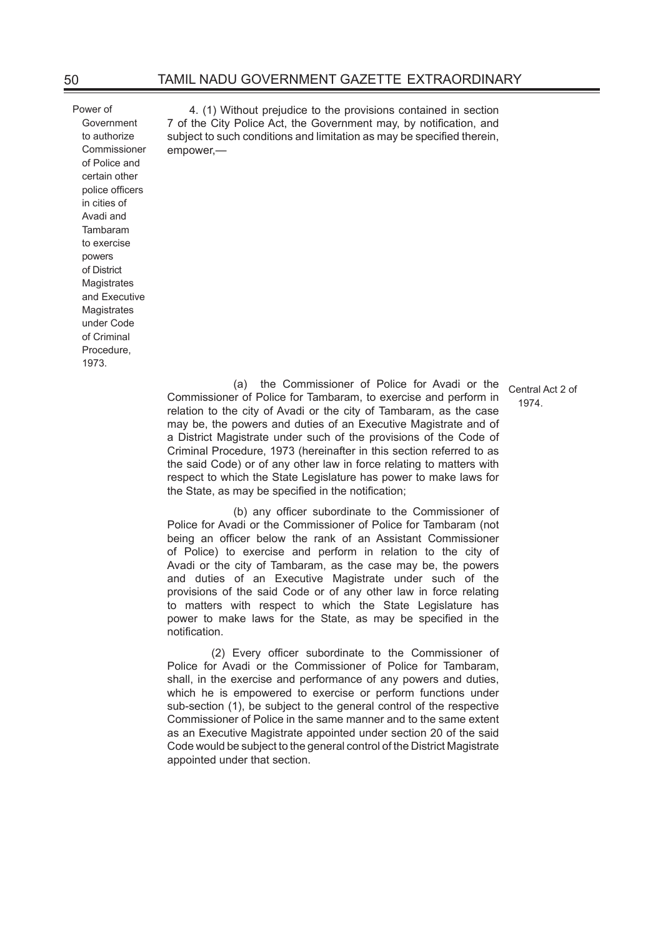Power of Government to authorize Commissioner of Police and certain other police officers in cities of Avadi and Tambaram to exercise powers of District **Magistrates** and Executive **Magistrates** under Code of Criminal Procedure, 1073

4. (1) Without prejudice to the provisions contained in section 7 of the City Police Act, the Government may, by notification, and subject to such conditions and limitation as may be specified therein, empower,—

> Central Act 2 of 1974.

 (a) the Commissioner of Police for Avadi or the Commissioner of Police for Tambaram, to exercise and perform in relation to the city of Avadi or the city of Tambaram, as the case may be, the powers and duties of an Executive Magistrate and of a District Magistrate under such of the provisions of the Code of Criminal Procedure, 1973 (hereinafter in this section referred to as the said Code) or of any other law in force relating to matters with respect to which the State Legislature has power to make laws for the State, as may be specified in the notification;

(b) any officer subordinate to the Commissioner of Police for Avadi or the Commissioner of Police for Tambaram (not being an officer below the rank of an Assistant Commissioner of Police) to exercise and perform in relation to the city of Avadi or the city of Tambaram, as the case may be, the powers and duties of an Executive Magistrate under such of the provisions of the said Code or of any other law in force relating to matters with respect to which the State Legislature has power to make laws for the State, as may be specified in the notification.

(2) Every officer subordinate to the Commissioner of Police for Avadi or the Commissioner of Police for Tambaram, shall, in the exercise and performance of any powers and duties, which he is empowered to exercise or perform functions under sub-section (1), be subject to the general control of the respective Commissioner of Police in the same manner and to the same extent as an Executive Magistrate appointed under section 20 of the said Code would be subject to the general control of the District Magistrate appointed under that section.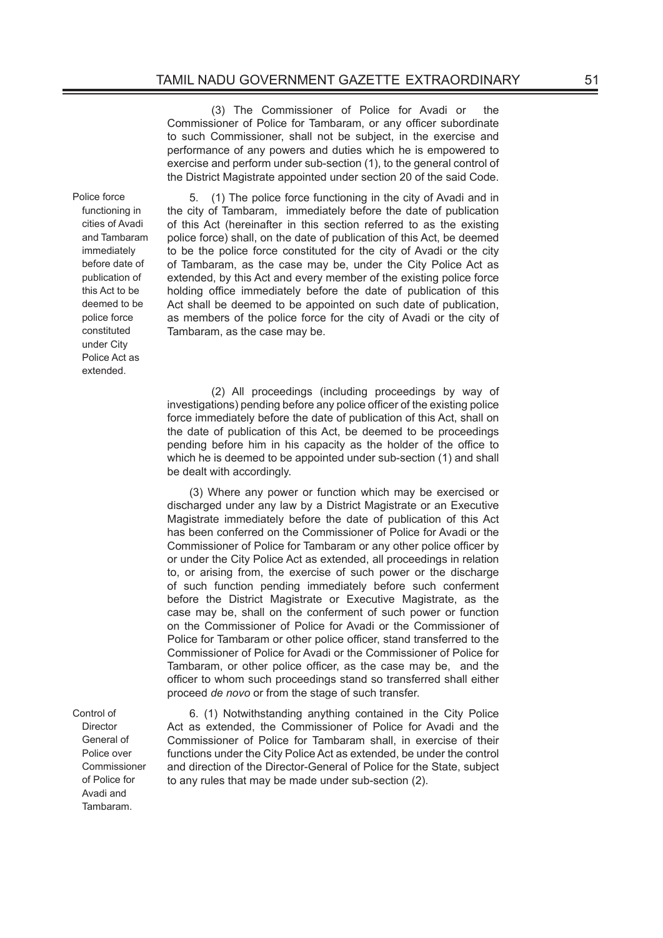(3) The Commissioner of Police for Avadi or the Commissioner of Police for Tambaram, or any officer subordinate to such Commissioner, shall not be subject, in the exercise and performance of any powers and duties which he is empowered to exercise and perform under sub-section (1), to the general control of the District Magistrate appointed under section 20 of the said Code.

5. (1) The police force functioning in the city of Avadi and in the city of Tambaram, immediately before the date of publication of this Act (hereinafter in this section referred to as the existing police force) shall, on the date of publication of this Act, be deemed to be the police force constituted for the city of Avadi or the city of Tambaram, as the case may be, under the City Police Act as extended, by this Act and every member of the existing police force holding office immediately before the date of publication of this Act shall be deemed to be appointed on such date of publication, as members of the police force for the city of Avadi or the city of Tambaram, as the case may be.

(2) All proceedings (including proceedings by way of investigations) pending before any police officer of the existing police force immediately before the date of publication of this Act, shall on the date of publication of this Act, be deemed to be proceedings pending before him in his capacity as the holder of the office to which he is deemed to be appointed under sub-section (1) and shall be dealt with accordingly.

(3) Where any power or function which may be exercised or discharged under any law by a District Magistrate or an Executive Magistrate immediately before the date of publication of this Act has been conferred on the Commissioner of Police for Avadi or the Commissioner of Police for Tambaram or any other police officer by or under the City Police Act as extended, all proceedings in relation to, or arising from, the exercise of such power or the discharge of such function pending immediately before such conferment before the District Magistrate or Executive Magistrate, as the case may be, shall on the conferment of such power or function on the Commissioner of Police for Avadi or the Commissioner of Police for Tambaram or other police officer, stand transferred to the Commissioner of Police for Avadi or the Commissioner of Police for Tambaram, or other police officer, as the case may be, and the officer to whom such proceedings stand so transferred shall either proceed *de novo* or from the stage of such transfer.

6. (1) Notwithstanding anything contained in the City Police Act as extended, the Commissioner of Police for Avadi and the Commissioner of Police for Tambaram shall, in exercise of their functions under the City Police Act as extended, be under the control and direction of the Director-General of Police for the State, subject to any rules that may be made under sub-section (2).

Police force functioning in cities of Avadi and Tambaram immediately before date of publication of this Act to be deemed to be police force constituted under City Police Act as extended.

Control of Director General of Police over Commissioner of Police for Avadi and Tambaram.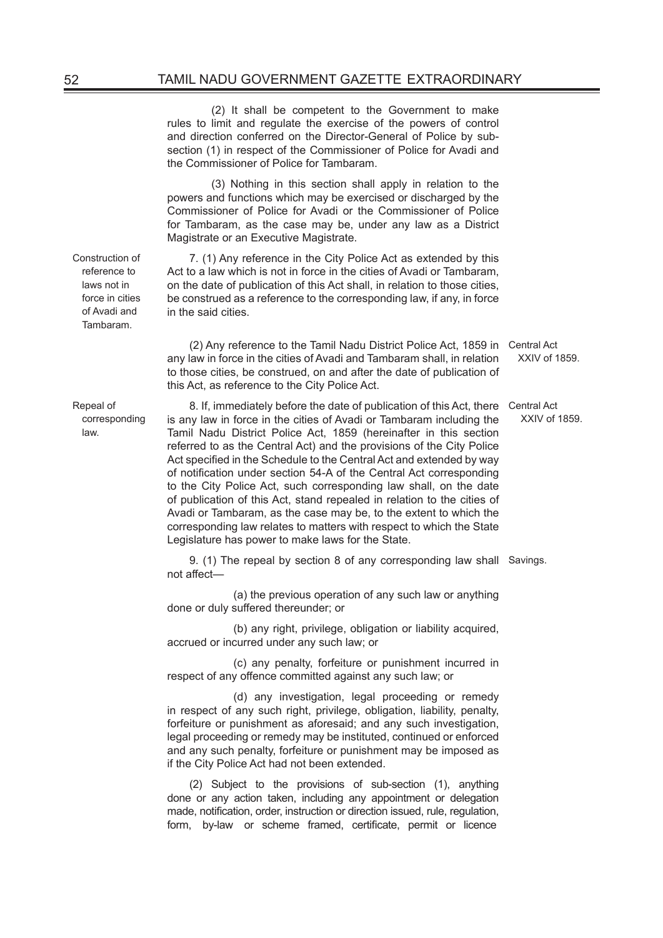(2) It shall be competent to the Government to make rules to limit and regulate the exercise of the powers of control and direction conferred on the Director-General of Police by subsection (1) in respect of the Commissioner of Police for Avadi and the Commissioner of Police for Tambaram.

(3) Nothing in this section shall apply in relation to the powers and functions which may be exercised or discharged by the Commissioner of Police for Avadi or the Commissioner of Police for Tambaram, as the case may be, under any law as a District Magistrate or an Executive Magistrate.

7. (1) Any reference in the City Police Act as extended by this Act to a law which is not in force in the cities of Avadi or Tambaram, on the date of publication of this Act shall, in relation to those cities, be construed as a reference to the corresponding law, if any, in force in the said cities.

(2) Any reference to the Tamil Nadu District Police Act, 1859 in Central Act any law in force in the cities of Avadi and Tambaram shall, in relation to those cities, be construed, on and after the date of publication of this Act, as reference to the City Police Act.

XXIV of 1859.

XXIV of 1859.

8. If, immediately before the date of publication of this Act, there Central Act is any law in force in the cities of Avadi or Tambaram including the Tamil Nadu District Police Act, 1859 (hereinafter in this section referred to as the Central Act) and the provisions of the City Police Act specified in the Schedule to the Central Act and extended by way of notification under section 54-A of the Central Act corresponding to the City Police Act, such corresponding law shall, on the date of publication of this Act, stand repealed in relation to the cities of Avadi or Tambaram, as the case may be, to the extent to which the corresponding law relates to matters with respect to which the State Legislature has power to make laws for the State.

9. (1) The repeal by section 8 of any corresponding law shall Savings. not affect—

 (a) the previous operation of any such law or anything done or duly suffered thereunder; or

 (b) any right, privilege, obligation or liability acquired, accrued or incurred under any such law; or

 (c) any penalty, forfeiture or punishment incurred in respect of any offence committed against any such law; or

 (d) any investigation, legal proceeding or remedy in respect of any such right, privilege, obligation, liability, penalty, forfeiture or punishment as aforesaid; and any such investigation, legal proceeding or remedy may be instituted, continued or enforced and any such penalty, forfeiture or punishment may be imposed as if the City Police Act had not been extended.

(2) Subject to the provisions of sub-section (1), anything done or any action taken, including any appointment or delegation made, notification, order, instruction or direction issued, rule, regulation, form, by-law or scheme framed, certificate, permit or licence

Construction of reference to laws not in force in cities of Avadi and Tambaram.

Repeal of corresponding law.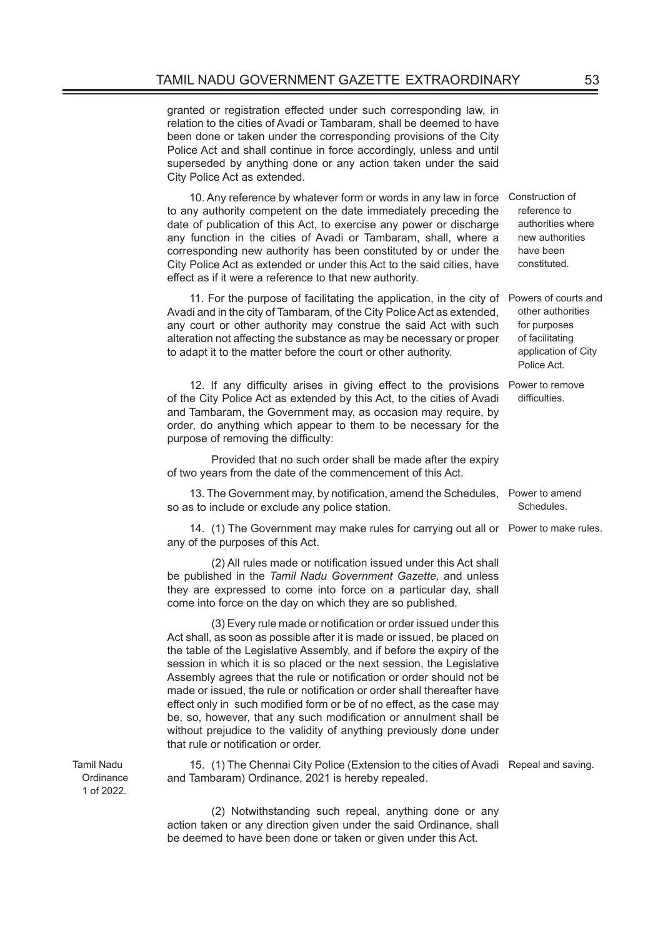granted or registration effected under such corresponding law, in relation to the cities of Avadi or Tambaram, shall be deemed to have been done or taken under the corresponding provisions of the City Police Act and shall continue in force accordingly, unless and until superseded by anything done or any action taken under the said City Police Act as extended.

10. Any reference by whatever form or words in any law in force Construction of to any authority competent on the date immediately preceding the date of publication of this Act, to exercise any power or discharge any function in the cities of Avadi or Tambaram, shall, where a corresponding new authority has been constituted by or under the City Police Act as extended or under this Act to the said cities, have effect as if it were a reference to that new authority.

11. For the purpose of facilitating the application, in the city of Powers of courts and Avadi and in the city of Tambaram, of the City Police Act as extended, any court or other authority may construe the said Act with such alteration not affecting the substance as may be necessary or proper to adapt it to the matter before the court or other authority.

12. If any difficulty arises in giving effect to the provisions of the City Police Act as extended by this Act, to the cities of Avadi and Tambaram, the Government may, as occasion may require, by order, do anything which appear to them to be necessary for the purpose of removing the difficulty:

Provided that no such order shall be made after the expiry of two years from the date of the commencement of this Act.

13. The Government may, by notification, amend the Schedules, Power to amend so as to include or exclude any police station.

14. (1) The Government may make rules for carrying out all or Power to make rules. any of the purposes of this Act.

 (2) All rules made or notification issued under this Act shall be published in the *Tamil Nadu Government Gazette,* and unless they are expressed to come into force on a particular day, shall come into force on the day on which they are so published.

(3) Every rule made or notification or order issued under this Act shall, as soon as possible after it is made or issued, be placed on the table of the Legislative Assembly, and if before the expiry of the session in which it is so placed or the next session, the Legislative Assembly agrees that the rule or notification or order should not be made or issued, the rule or notification or order shall thereafter have effect only in such modified form or be of no effect, as the case may be, so, however, that any such modification or annulment shall be without prejudice to the validity of anything previously done under that rule or notification or order.

15. (1) The Chennai City Police (Extension to the cities of Avadi Repeal and saving. and Tambaram) Ordinance, 2021 is hereby repealed.

(2) Notwithstanding such repeal, anything done or any action taken or any direction given under the said Ordinance, shall be deemed to have been done or taken or given under this Act.

Tamil Nadu Ordinance 1 of 2022.

reference to authorities where new authorities have been constituted.

other authorities for purposes of facilitating application of City Police Act.

Power to remove difficulties.

Schedules.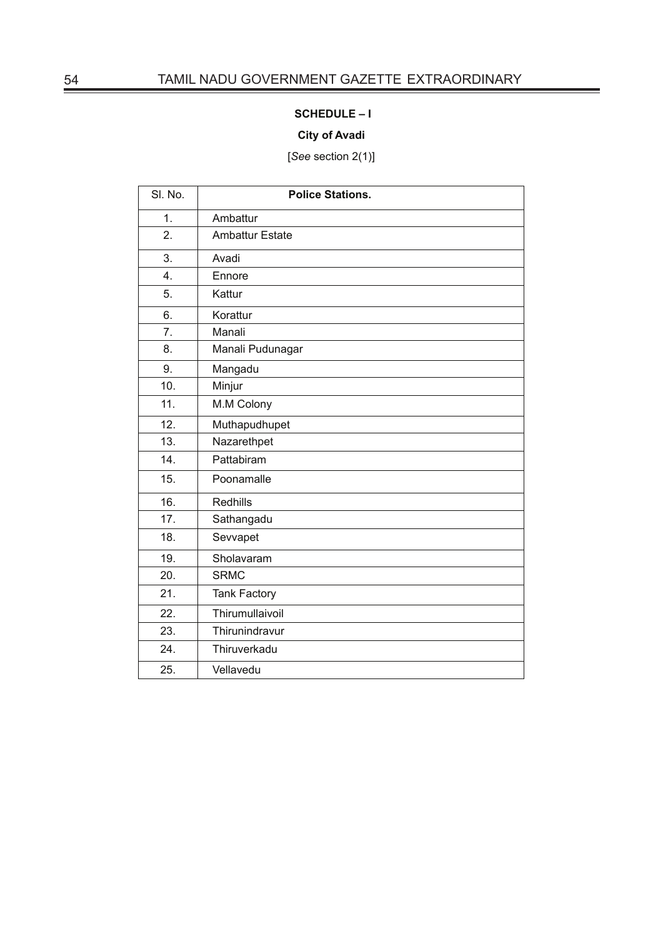# **SCHEDULE – I**

## **City of Avadi**

[*See* section 2(1)]

| SI. No.          | <b>Police Stations.</b> |
|------------------|-------------------------|
| 1.               | Ambattur                |
| 2.               | <b>Ambattur Estate</b>  |
| 3.               | Avadi                   |
| $\overline{4}$ . | Ennore                  |
| 5.               | Kattur                  |
| 6.               | Korattur                |
| 7.               | Manali                  |
| 8.               | Manali Pudunagar        |
| 9.               | Mangadu                 |
| 10.              | Minjur                  |
| 11.              | M.M Colony              |
| 12.              | Muthapudhupet           |
| 13.              | Nazarethpet             |
| 14.              | Pattabiram              |
| 15.              | Poonamalle              |
| 16.              | Redhills                |
| 17.              | Sathangadu              |
| 18.              | Sevvapet                |
| 19.              | Sholavaram              |
| 20.              | <b>SRMC</b>             |
| 21.              | <b>Tank Factory</b>     |
| 22.              | Thirumullaivoil         |
| 23.              | Thirunindravur          |
| 24.              | Thiruverkadu            |
| 25.              | Vellavedu               |